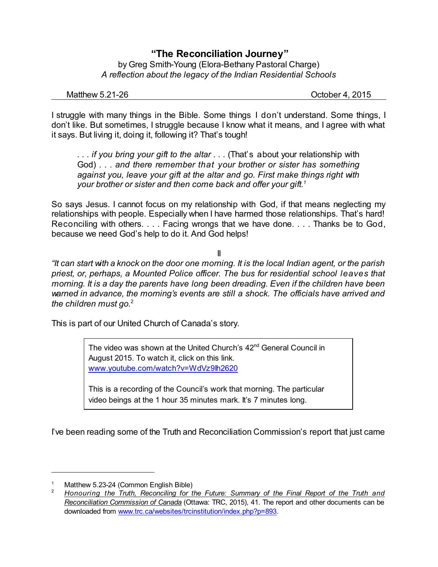## **"The Reconciliation Journey"**

by Greg Smith-Young (Elora-Bethany Pastoral Charge) *A reflection about the legacy of the Indian Residential Schools*

Matthew 5.21-26 **Department 1.2016** October 4, 2015

I struggle with many things in the Bible. Some things I don't understand. Some things, I don't like. But sometimes, I struggle because I know what it means, and I agree with what it says. But living it, doing it, following it? That's tough!

*. . . if you bring your gift to the altar . . .* (That's about your relationship with God) *. . . and there remember that your brother or sister has something against you, leave your gift at the altar and go. First make things right with your brother or sister and then come back and offer your gift. 1*

So says Jesus. I cannot focus on my relationship with God, if that means neglecting my relationships with people. Especially when I have harmed those relationships. That's hard! Reconciling with others. . . . Facing wrongs that we have done. . . . Thanks be to God, because we need God's help to do it. And God helps!

## II

*"It can start with a knock on the door one morning. It is the local Indian agent, or the parish priest, or, perhaps, a Mounted Police officer. The bus for residential school leaves that morning. It is a day the parents have long been dreading. Even if the children have been warned in advance, the morning's events are still a shock. The officials have arrived and the children must go.*<sup>2</sup>

This is part of our United Church of Canada's story.

The video was shown at the United Church's 42<sup>nd</sup> General Council in August 2015. To watch it, click on this link. [www.youtube.com/watch?v=WdVz9Ih2620](https://www.youtube.com/watch?v=WdVz9Ih2620)

This is a recording of the Council's work that morning. The particular video beings at the 1 hour 35 minutes mark. It's 7 minutes long.

I've been reading some of the Truth and Reconciliation Commission's report that just came

Matthew 5.23-24 (Common English Bible)

<sup>2</sup> *Honouring the Truth, Reconciling for the Future: Summary of the Final Report of the Truth and Reconciliation Commission of Canada* (Ottawa: TRC, 2015), 41. The report and other documents can be downloaded from [www.trc.ca/websites/trcinstitution/index.php?p=893](http://www.trc.ca/websites/trcinstitution/index.php?p=893).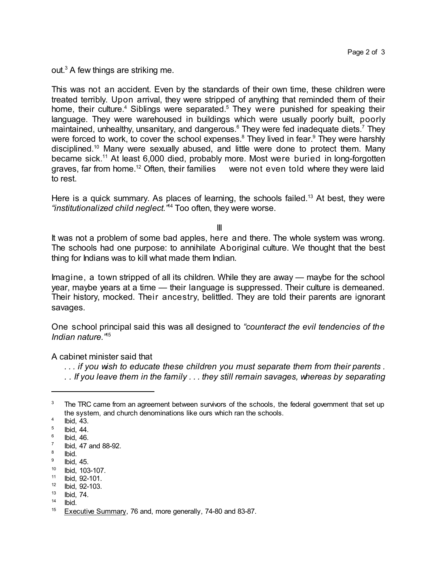out. <sup>3</sup> A few things are striking me.

This was not an accident. Even by the standards of their own time, these children were treated terribly. Upon arrival, they were stripped of anything that reminded them of their home, their culture.<sup>4</sup> Siblings were separated.<sup>5</sup> They were punished for speaking their language. They were warehoused in buildings which were usually poorly built, poorly maintained, unhealthy, unsanitary, and dangerous.<sup>6</sup> They were fed inadequate diets.<sup>7</sup> They were forced to work, to cover the school expenses. $^8$  They lived in fear. $^9$  They were harshly disciplined.<sup>10</sup> Many were sexually abused, and little were done to protect them. Many became sick.<sup>11</sup> At least 6,000 died, probably more. Most were buried in long-forgotten graves, far from home.<sup>12</sup> Often, their families were not even told where they were laid to rest.

Here is a quick summary. As places of learning, the schools failed.<sup>13</sup> At best, they were *"institutionalized child neglect."* <sup>14</sup> Too often, they were worse.

III

It was not a problem of some bad apples, here and there. The whole system was wrong. The schools had one purpose: to annihilate Aboriginal culture. We thought that the best thing for Indians was to kill what made them Indian.

Imagine, a town stripped of all its children. While they are away — maybe for the school year, maybe years at a time — their language is suppressed. Their culture is demeaned. Their history, mocked. Their ancestry, belittled. They are told their parents are ignorant savages.

One school principal said this was all designed to *"counteract the evil tendencies of the Indian nature."* 15

A cabinet minister said that

*. . . if you wish to educate these children you must separate them from their parents .*

*. . If you leave them in the family . . . they still remain savages, whereas by separating*

14 Ibid.

The TRC came from an agreement between survivors of the schools, the federal government that set up the system, and church denominations like ours which ran the schools.

<sup>4</sup> Ibid, 43.

<sup>5</sup> Ibid, 44.

<sup>6</sup> Ibid, 46.

<sup>7</sup> Ibid, 47 and 88-92.

<sup>8</sup> Ibid.

<sup>9</sup> Ibid, 45.

<sup>10</sup> Ibid, 103-107.

<sup>11</sup> Ibid, 92-101.

<sup>12</sup> Ibid, 92-103.

<sup>13</sup> Ibid, 74.

<sup>&</sup>lt;sup>15</sup> Executive Summary, 76 and, more generally, 74-80 and 83-87.